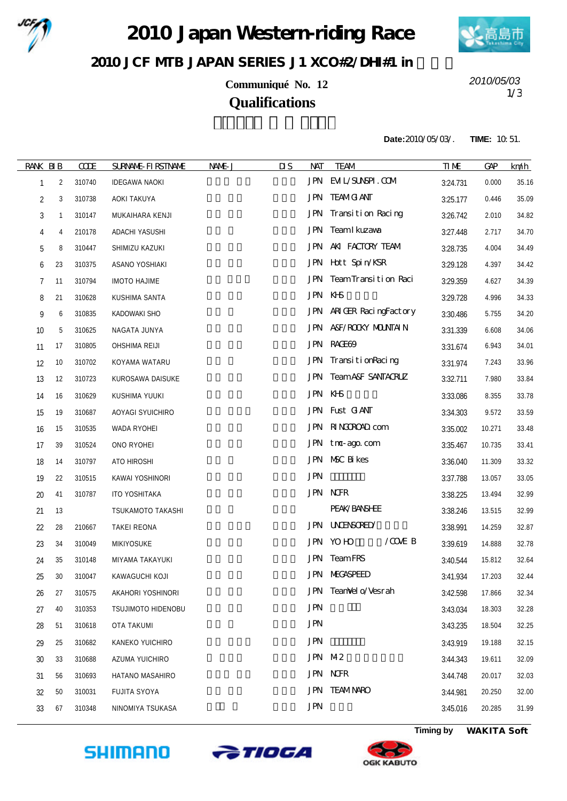

2010 Japan Western riding Race



2010 JCF MIB JAPAN SERIES J1 XCO#2/DH#1 in

**Communiqué No. 12 Qualifications**

1/3 *2010/05/03*

**Date:**2010/05/03/. **TIME:** 10:51.

| <b>RANK BIB</b> |    | <b>CODE</b> | <b>SURNALE-FIRSTNAME</b>  | NAME J | $\overline{\mathbf{u}}$<br>NAT | <b>TEAM</b>                      | <b>TIME</b> | <b>GAP</b> | km/h  |
|-----------------|----|-------------|---------------------------|--------|--------------------------------|----------------------------------|-------------|------------|-------|
| 1               | 2  | 310740      | <b>IDEGAWA NAOKI</b>      |        |                                | JPN EML/SUNSPI.COM               | 3:24.731    | 0.000      | 35.16 |
| 2               | 3  | 310738      | AOKI TAKUYA               |        |                                | <b>JPN TEAMG ANT</b>             | 3:25.177    | 0.446      | 35.09 |
| 3               | 1  | 310147      | MUKAIHARA KENJI           |        | <b>JPN</b>                     | Transition Racing                | 3:26.742    | 2.010      | 34.82 |
| 4               | 4  | 210178      | <b>ADACHI YASUSHI</b>     |        | JPN                            | Team I kuzawa                    | 3:27.448    | 2.717      | 34.70 |
| 5               | 8  | 310447      | SHIMIZU KAZUKI            |        |                                | JPN AKI FACTORY TEAM             | 3:28.735    | 4.004      | 34.49 |
| 6               | 23 | 310375      | ASANO YOSHIAKI            |        |                                | JPN Hott Spin/KSR                | 3:29.128    | 4.397      | 34.42 |
| 7               | 11 | 310794      | <b>IMOTO HAJIME</b>       |        | JPN                            | TeamTransition Raci              | 3:29.359    | 4.627      | 34.39 |
| 8               | 21 | 310628      | KUSHIMA SANTA             |        | JPN KHS                        |                                  | 3:29.728    | 4.996      | 34.33 |
| 9               | 6  | 310835      | KADOWAKI SHO              |        |                                | JPN ARIGER RacingFactory         | 3:30.486    | 5.755      | 34.20 |
| 10              | 5  | 310625      | NAGATA JUNYA              |        |                                | JPN A&F/ROOKY MOUNTAIN           | 3:31.339    | 6.608      | 34.06 |
| 11              | 17 | 310805      | OHSHIMA REIJI             |        |                                | JPN RACE69                       | 3:31.674    | 6.943      | 34.01 |
| 12              | 10 | 310702      | KOYAMA WATARU             |        |                                | JPN TransitionRacing             | 3:31.974    | 7.243      | 33.96 |
| 13              | 12 | 310723      | KUROSAWA DAISUKE          |        |                                | <b>JPN TeamA&amp;F SANTACRUZ</b> | 3:32.711    | 7.980      | 33.84 |
| 14              | 16 | 310629      | KUSHIMA YUUKI             |        | JPN KHS                        |                                  | 3:33.086    | 8.355      | 33.78 |
| 15              | 19 | 310687      | AOYAGI SYUICHIRO          |        |                                | JPN Fust GANT                    | 3:34.303    | 9.572      | 33.59 |
| 16              | 15 | 310535      | WADA RYOHEI               |        |                                | JPN RINGROAD com                 | 3:35.002    | 10.271     | 33.48 |
| 17              | 39 | 310524      | ONO RYOHEI                |        |                                | JPN tno-ago.com                  | 3:35.467    | 10.735     | 33.41 |
| 18              | 14 | 310797      | ATO HIROSHI               |        |                                | JPN NSC Bikes                    | 3:36.040    | 11.309     | 33.32 |
| 19              | 22 | 310515      | KAWAI YOSHINORI           |        | <b>JPN</b>                     |                                  | 3:37.788    | 13.057     | 33.05 |
| 20              | 41 | 310787      | ITO YOSHITAKA             |        |                                | <b>JPN NORR</b>                  | 3:38.225    | 13.494     | 32.99 |
| 21              | 13 |             | TSUKAMOTO TAKASHI         |        |                                | PEAK/BANSHEE                     | 3:38.246    | 13.515     | 32.99 |
| 22              | 28 | 210667      | <b>TAKEI REONA</b>        |        |                                | JPN UNENSORED                    | 3:38.991    | 14.259     | 32.87 |
| 23              | 34 | 310049      | MIKIYOSUKE                |        |                                | $/$ COME B<br>JPN YOHO           | 3:39.619    | 14.888     | 32.78 |
| 24              | 35 | 310148      | MIYAMA TAKAYUKI           |        |                                | <b>JPN</b> TeamFRS               | 3:40.544    | 15.812     | 32.64 |
| 25              | 30 | 310047      | KAWAGUCHI KOJI            |        |                                | <b>JPN MEGASPEED</b>             | 3:41.934    | 17.203     | 32.44 |
| 26              | 27 | 310575      | AKAHORI YOSHINORI         |        |                                | JPN TeanVel o/Vesrah             | 3:42.598    | 17.866     | 32.34 |
| 27              | 40 | 310353      | <b>TSUJIMOTO HIDENOBU</b> |        | <b>JPN</b>                     |                                  | 3:43.034    | 18.303     | 32.28 |
| 28              | 51 | 310618      | OTA TAKUMI                |        | <b>JPN</b>                     |                                  | 3:43.235    | 18.504     | 32.25 |
| 29              | 25 | 310682      | KANEKO YUICHIRO           |        | <b>JPN</b>                     |                                  | 3:43.919    | 19.188     | 32.15 |
| 30              | 33 | 310688      | AZUMA YUICHIRO            |        |                                | JPN M2                           | 3:44.343    | 19.611     | 32.09 |
| 31              | 56 | 310693      | HATANO MASAHIRO           |        |                                | <b>JPN NOFR</b>                  | 3:44.748    | 20.017     | 32.03 |
| 32              | 50 | 310031      | <b>FUJITA SYOYA</b>       |        |                                | <b>JPN TEAMNARO</b>              | 3:44.981    | 20.250     | 32.00 |
| 33              | 67 | 310348      | NINOMIYA TSUKASA          |        | <b>JPN</b>                     |                                  | 3:45.016    | 20.285     | 31.99 |
|                 |    |             |                           |        |                                |                                  |             |            |       |





**Timing by** *WAKITA Soft*

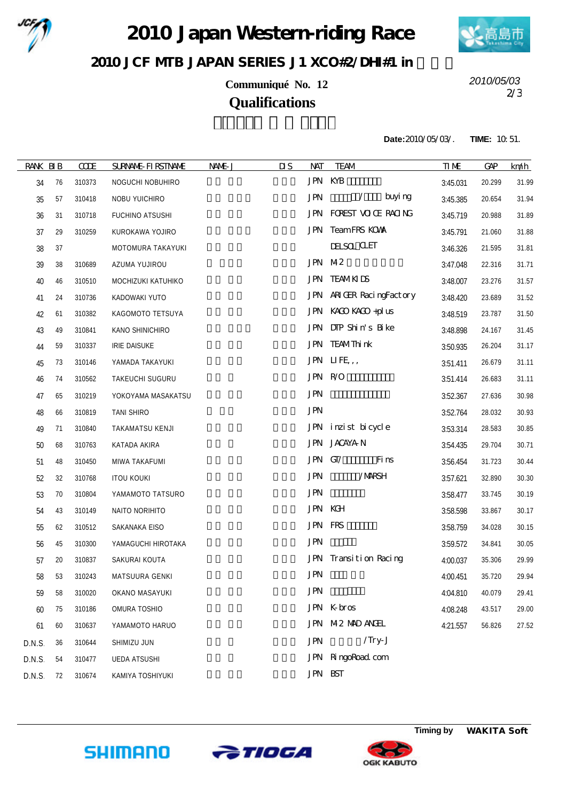

2010 Japan Western riding Race



2010 JCF MIB JAPAN SERIES J1 XCO#2/DH#1 in

**Communiqué No. 12 Qualifications**

2/3 *2010/05/03*

**Date:**2010/05/03/. **TIME:** 10:51.

| <b>RANK BIB</b> |    | <b>COE</b> | <b>SURNALE-FIRSTNAME</b> | NAME J | $\overline{\mathbf{u}}$<br><b>NAT</b> | <b>TEAM</b>              | <b>TIME</b> | <b>GAP</b> | km/h  |
|-----------------|----|------------|--------------------------|--------|---------------------------------------|--------------------------|-------------|------------|-------|
| 34              | 76 | 310373     | NOGUCHI NOBUHIRO         |        |                                       | JPN KYB                  | 3:45.031    | 20.299     | 31.99 |
| 35              | 57 | 310418     | NOBU YUICHIRO            |        | <b>JPN</b>                            | buyi ng<br>$\sqrt{2}$    | 3:45.385    | 20.654     | 31.94 |
| 36              | 31 | 310718     | FUCHINO ATSUSHI          |        |                                       | JPN FOREST VOCE RAONG    | 3:45.719    | 20.988     | 31.89 |
| 37              | 29 | 310259     | KUROKAWA YOJIRO          |        |                                       | JPN TeamFRS KOWA         | 3:45.791    | 21.060     | 31.88 |
| 38              | 37 |            | MOTOMURA TAKAYUKI        |        |                                       | <b>IEISOL CLET</b>       | 3:46.326    | 21.595     | 31.81 |
| 39              | 38 | 310689     | AZUMA YUJIROU            |        |                                       | JPN M2                   | 3:47.048    | 22.316     | 31.71 |
| 40              | 46 | 310510     | MOCHIZUKI KATUHIKO       |        |                                       | <b>JPN TEAMKIDS</b>      | 3:48.007    | 23.276     | 31.57 |
| 41              | 24 | 310736     | KADOWAKI YUTO            |        |                                       | JPN ARIGER RacingFactory | 3:48.420    | 23.689     | 31.52 |
| 42              | 61 | 310382     | KAGOMOTO TETSUYA         |        |                                       | JPN KACO KACO +pl us     | 3:48.519    | 23.787     | 31.50 |
| 43              | 49 | 310841     | KANO SHINICHIRO          |        |                                       | JPN DIP Shin's Bike      | 3:48.898    | 24.167     | 31.45 |
| 44              | 59 | 310337     | <b>IRIE DAISUKE</b>      |        |                                       | JPN TEAMThink            | 3:50.935    | 26.204     | 31.17 |
| 45              | 73 | 310146     | YAMADA TAKAYUKI          |        |                                       | JPN LIFE,,               | 3:51.411    | 26.679     | 31.11 |
| 46              | 74 | 310562     | TAKEUCHI SUGURU          |        |                                       | JPN R/O                  | 3:51.414    | 26.683     | 31.11 |
| 47              | 65 | 310219     | YOKOYAMA MASAKATSU       |        | <b>JPN</b>                            |                          | 3:52.367    | 27.636     | 30.98 |
| 48              | 66 | 310819     | <b>TANI SHIRO</b>        |        | <b>JPN</b>                            |                          | 3:52.764    | 28.032     | 30.93 |
| 49              | 71 | 310840     | TAKAMATSU KENJI          |        |                                       | JPN inzist bicycle       | 3:53.314    | 28.583     | 30.85 |
| 50              | 68 | 310763     | KATADA AKIRA             |        |                                       | JPN JACAYAN              | 3:54.435    | 29.704     | 30.71 |
| 51              | 48 | 310450     | MIWA TAKAFUMI            |        |                                       | JPN GIZ<br>Fins          | 3:56.454    | 31.723     | 30.44 |
| 52              | 32 | 310768     | <b>ITOU KOUKI</b>        |        | <b>JPN</b>                            | /MRSH                    | 3:57.621    | 32.890     | 30.30 |
| 53              | 70 | 310804     | YAMAMOTO TATSURO         |        | <b>JPN</b>                            |                          | 3:58.477    | 33.745     | 30.19 |
| 54              | 43 | 310149     | NAITO NORIHITO           |        |                                       | <b>JPN KGH</b>           | 3:58.598    | 33.867     | 30.17 |
| 55              | 62 | 310512     | SAKANAKA EISO            |        |                                       | JPN FRS                  | 3:58.759    | 34.028     | 30.15 |
| 56              | 45 | 310300     | YAMAGUCHI HIROTAKA       |        | <b>JPN</b>                            |                          | 3:59.572    | 34.841     | 30.05 |
| 57              | 20 | 310837     | SAKURAI KOUTA            |        |                                       | JPN Transition Racing    | 4:00.037    | 35.306     | 29.99 |
| 58              | 53 | 310243     | MATSUURA GENKI           |        | <b>JPN</b>                            |                          | 4:00.451    | 35.720     | 29.94 |
| 59              | 58 | 310020     | OKANO MASAYUKI           |        | <b>JPN</b>                            |                          | 4:04.810    | 40.079     | 29.41 |
| 60              | 75 | 310186     | OMURA TOSHIO             |        |                                       | JPN Kbros                | 4:08.248    | 43.517     | 29.00 |
| 61              | 60 | 310637     | YAMAMOTO HARUO           |        |                                       | JPN M2 MAD ANGEL         | 4:21.557    | 56.826     | 27.52 |
| D.N.S.          | 36 | 310644     | SHIMIZU JUN              |        | <b>JPN</b>                            | $/$ Try-J                |             |            |       |
| D.N.S.          | 54 | 310477     | <b>UEDA ATSUSHI</b>      |        |                                       | JPN RingoRoad com        |             |            |       |
| D.N.S.          | 72 | 310674     | KAMIYA TOSHIYUKI         |        |                                       | <b>JPN BST</b>           |             |            |       |